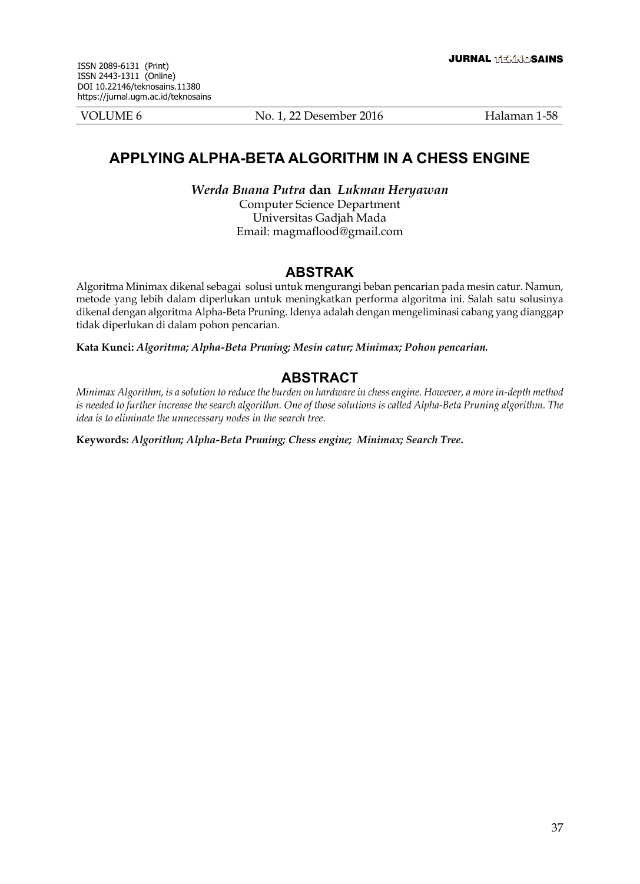VOLUME 6 No. 1, 22 Desember 2016 Halaman 1-58

# **APPLYING ALPHA-BETA ALGORITHM IN A CHESS ENGINE**

*Werda Buana Putra* **dan** *Lukman Heryawan* Computer Science Department Universitas Gadjah Mada

Email: magmaflood@gmail.com

## **aBstraK**

Algoritma Minimax dikenal sebagai solusi untuk mengurangi beban pencarian pada mesin catur. Namun, metode yang lebih dalam diperlukan untuk meningkatkan performa algoritma ini. Salah satu solusinya dikenal dengan algoritma Alpha-Beta Pruning. Idenya adalah dengan mengeliminasi cabang yang dianggap tidak diperlukan di dalam pohon pencarian.

**Kata Kunci:** *Algoritma; Alpha-Beta Pruning; Mesin catur; Minimax; Pohon pencarian.*

## **ABSTRACT**

*Minimax Algorithm, is a solution to reduce the burden on hardware in chess engine. However, a more in-depth method*  is needed to further increase the search algorithm. One of those solutions is called Alpha-Beta Pruning algorithm. The *idea is to eliminate the unnecessary nodes in the search tree*.

**Keywords:** *Algorithm; Alpha-Beta Pruning; Chess engine; Minimax; Search Tree***.**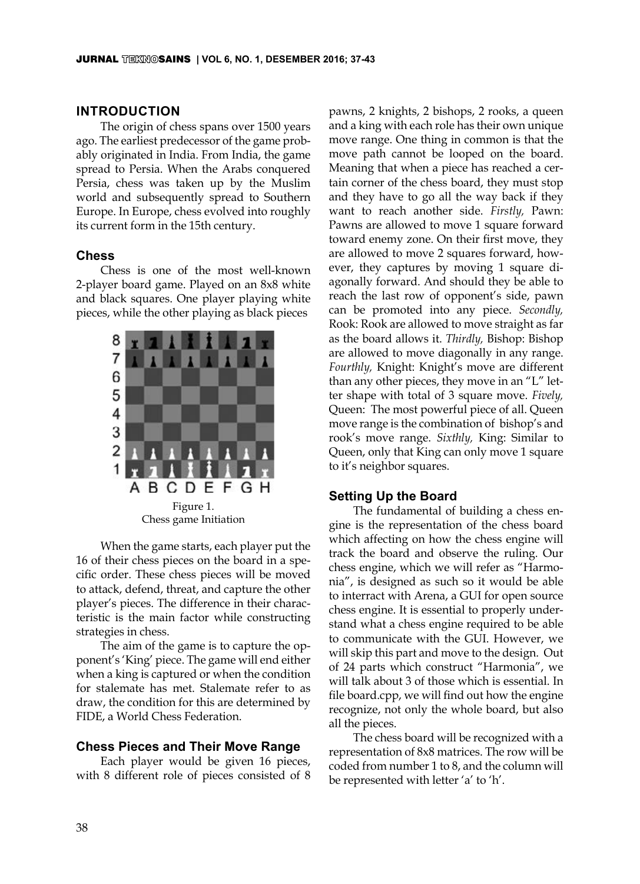### **INTRODUCTION**

The origin of chess spans over 1500 years ago. The earliest predecessor of the game probably originated in India. From India, the game spread to Persia. When the Arabs conquered Persia, chess was taken up by the Muslim world and subsequently spread to Southern Europe. In Europe, chess evolved into roughly its current form in the 15th century.

### **Chess**

Chess is one of the most well-known 2-player board game. Played on an 8x8 white and black squares. One player playing white pieces, while the other playing as black pieces



Chess game Initiation

When the game starts, each player put the 16 of their chess pieces on the board in a specific order. These chess pieces will be moved to attack, defend, threat, and capture the other player's pieces. The difference in their characteristic is the main factor while constructing strategies in chess.

The aim of the game is to capture the opponent's 'King' piece. The game will end either when a king is captured or when the condition for stalemate has met. Stalemate refer to as draw, the condition for this are determined by FIDE, a World Chess Federation.

### **Chess Pieces and Their Move Range**

Each player would be given 16 pieces, with 8 different role of pieces consisted of 8 pawns, 2 knights, 2 bishops, 2 rooks, a queen and a king with each role has their own unique move range. One thing in common is that the move path cannot be looped on the board. Meaning that when a piece has reached a certain corner of the chess board, they must stop and they have to go all the way back if they want to reach another side. *Firstly,* Pawn: Pawns are allowed to move 1 square forward toward enemy zone. On their first move, they are allowed to move 2 squares forward, however, they captures by moving 1 square diagonally forward. And should they be able to reach the last row of opponent's side, pawn can be promoted into any piece. *Secondly,* Rook: Rook are allowed to move straight as far as the board allows it. *Thirdly,* Bishop: Bishop are allowed to move diagonally in any range. *Fourthly,* Knight: Knight's move are different than any other pieces, they move in an "L" letter shape with total of 3 square move. *Fively,* Queen: The most powerful piece of all. Queen move range is the combination of bishop's and rook's move range. *Sixthly,* King: Similar to Queen, only that King can only move 1 square to it's neighbor squares.

### **Setting Up the Board**

The fundamental of building a chess engine is the representation of the chess board which affecting on how the chess engine will track the board and observe the ruling. Our chess engine, which we will refer as "Harmonia", is designed as such so it would be able to interract with Arena, a GUI for open source chess engine. It is essential to properly understand what a chess engine required to be able to communicate with the GUI. However, we will skip this part and move to the design. Out of 24 parts which construct "Harmonia", we will talk about 3 of those which is essential. In file board.cpp, we will find out how the engine recognize, not only the whole board, but also all the pieces.

The chess board will be recognized with a representation of 8x8 matrices. The row will be coded from number 1 to 8, and the column will be represented with letter 'a' to 'h'.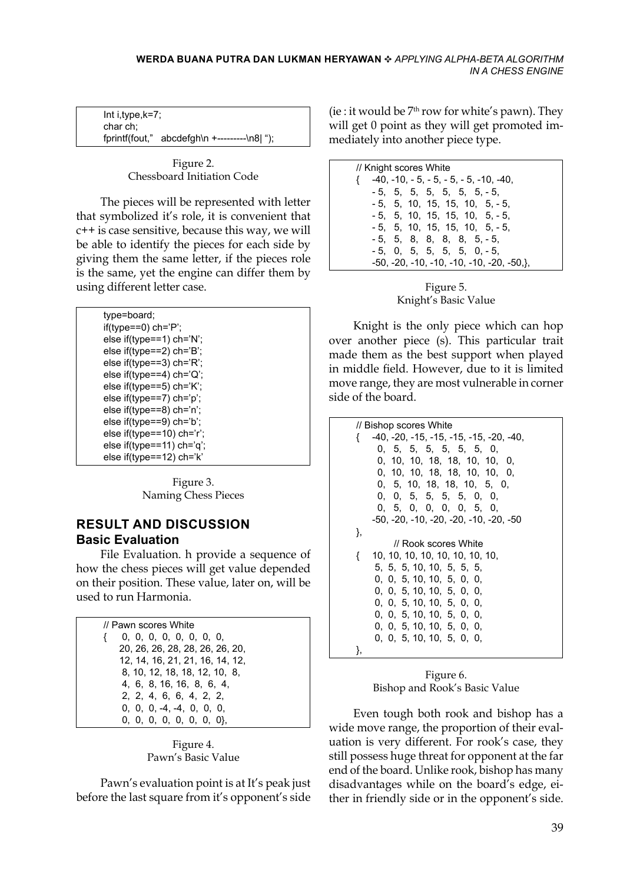Int i,type,k=7; char ch; fprintf(fout," abcdefgh\n +---------\n8| ");

> Figure 2. Chessboard Initiation Code

The pieces will be represented with letter that symbolized it's role, it is convenient that c++ is case sensitive, because this way, we will be able to identify the pieces for each side by giving them the same letter, if the pieces role is the same, yet the engine can differ them by using different letter case.

| type=board; |                                    |  |
|-------------|------------------------------------|--|
|             |                                    |  |
|             | else if(type==1) ch='N';           |  |
|             | else if(type==2) ch='B';           |  |
|             | else if(type==3) $\text{ch}$ ='R'; |  |
|             | else if(type==4) $\text{ch}$ ='Q'; |  |
|             | else if(type==5) $\text{ch}$ ='K'; |  |
|             | else if(type==7) $ch='p$ ;         |  |
|             | else if(type==8) ch='n';           |  |
|             | else if(type==9) ch='b';           |  |
|             | else if(type==10) ch='r';          |  |
|             | else if(type==11) ch='q';          |  |
|             | else if(type==12) ch='k'           |  |

Figure 3. Naming Chess Pieces

## **RESULT AND DISCUSSION Basic Evaluation**

File Evaluation. h provide a sequence of how the chess pieces will get value depended on their position. These value, later on, will be used to run Harmonia.

| // Pawn scores White            |
|---------------------------------|
| 0, 0, 0, 0, 0, 0, 0, 0, 0,      |
| 20, 26, 26, 28, 28, 26, 26, 20, |
| 12, 14, 16, 21, 21, 16, 14, 12, |
| 8, 10, 12, 18, 18, 12, 10, 8,   |
| 4, 6, 8, 16, 16, 8, 6, 4,       |
| 2, 2, 4, 6, 6, 4, 2, 2,         |
| $0, 0, 0, -4, -4, 0, 0, 0,$     |
| 0, 0, 0, 0, 0, 0, 0, 0},        |

Figure 4. Pawn's Basic Value

Pawn's evaluation point is at It's peak just before the last square from it's opponent's side

(ie : it would be  $7<sup>th</sup>$  row for white's pawn). They will get 0 point as they will get promoted immediately into another piece type.

| // Knight scores White                    |
|-------------------------------------------|
| $\{-40, -10, -5, -5, -5, -5, -10, -40,$   |
| $-5$ , 5, 5, 5, 5, 5, 5, -5,              |
| $-5$ , 5, 10, 15, 15, 10, 5, $-5$ ,       |
| $-5$ , 5, 10, 15, 15, 10, 5, $-5$ ,       |
| $-5$ , 5, 10, 15, 15, 10, 5, $-5$ ,       |
| - 5, 5, 8, 8, 8, 8, 5, - 5,               |
| $-5$ , 0, 5, 5, 5, 5, 0, $-5$ ,           |
| -50, -20, -10, -10, -10, -10, -20, -50,}, |

Figure 5. Knight's Basic Value

Knight is the only piece which can hop over another piece (s). This particular trait made them as the best support when played in middle field. However, due to it is limited move range, they are most vulnerable in corner side of the board.

```
// Bishop scores White
{ -40, -20, -15, -15, -15, -15, -20, -40,
      0, 5, 5, 5, 5, 5, 5, 0,
      0, 10, 10, 18, 18, 10, 10, 0,
      0, 10, 10, 18, 18, 10, 10, 0,
      0, 5, 10, 18, 18, 10, 5, 0,
      0, 0, 5, 5, 5, 5, 0, 0,
      0, 5, 0, 0, 0, 0, 5, 0,
   -50, -20, -10, -20, -20, -10, -20, -50
},
         // Rook scores White
{ 10, 10, 10, 10, 10, 10, 10, 10,
     5, 5, 5, 10, 10, 5, 5, 5,
     0, 0, 5, 10, 10, 5, 0, 0,
     0, 0, 5, 10, 10, 5, 0, 0,
     0, 0, 5, 10, 10, 5, 0, 0,
     0, 0, 5, 10, 10, 5, 0, 0,
     0, 0, 5, 10, 10, 5, 0, 0,
     0, 0, 5, 10, 10, 5, 0, 0,
},
```
Figure 6. Bishop and Rook's Basic Value

Even tough both rook and bishop has a wide move range, the proportion of their evaluation is very different. For rook's case, they still possess huge threat for opponent at the far end of the board. Unlike rook, bishop has many disadvantages while on the board's edge, either in friendly side or in the opponent's side.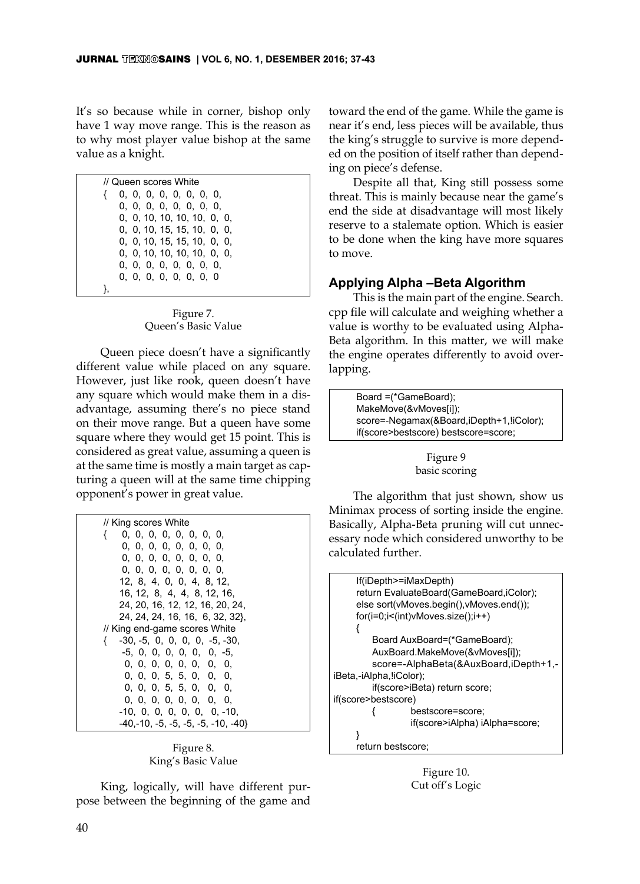It's so because while in corner, bishop only have 1 way move range. This is the reason as to why most player value bishop at the same value as a knight.

| // Queen scores White          |
|--------------------------------|
| 0, 0, 0, 0, 0, 0, 0, 0,        |
| 0, 0, 0, 0, 0, 0, 0, 0, 0,     |
| 0, 0, 10, 10, 10, 10, 0, 0, 0, |
| 0, 0, 10, 15, 15, 10, 0, 0,    |
| 0, 0, 10, 15, 15, 10, 0, 0,    |
| 0, 0, 10, 10, 10, 10, 0, 0, 0, |
| 0, 0, 0, 0, 0, 0, 0, 0,        |
| 0, 0, 0, 0, 0, 0, 0, 0         |
|                                |
|                                |

Figure 7. Queen's Basic Value

Queen piece doesn't have a significantly different value while placed on any square. However, just like rook, queen doesn't have any square which would make them in a disadvantage, assuming there's no piece stand on their move range. But a queen have some square where they would get 15 point. This is considered as great value, assuming a queen is at the same time is mostly a main target as capturing a queen will at the same time chipping opponent's power in great value.

Figure 8. King's Basic Value

King, logically, will have different purpose between the beginning of the game and

toward the end of the game. While the game is near it's end, less pieces will be available, thus the king's struggle to survive is more depended on the position of itself rather than depending on piece's defense.

Despite all that, King still possess some threat. This is mainly because near the game's end the side at disadvantage will most likely reserve to a stalemate option. Which is easier to be done when the king have more squares to move.

## **Applying Alpha –Beta Algorithm**

This is the main part of the engine. Search. cpp file will calculate and weighing whether a value is worthy to be evaluated using Alpha-Beta algorithm. In this matter, we will make the engine operates differently to avoid overlapping.

| Board = (*GameBoard);                    |
|------------------------------------------|
| MakeMove(&vMoves[i]);                    |
| score=-Negamax(&Board,iDepth+1,!iColor); |
| if(score>bestscore) bestscore=score;     |
|                                          |

### Figure 9 basic scoring

The algorithm that just shown, show us Minimax process of sorting inside the engine. Basically, Alpha-Beta pruning will cut unnecessary node which considered unworthy to be calculated further.



Figure 10. Cut off's Logic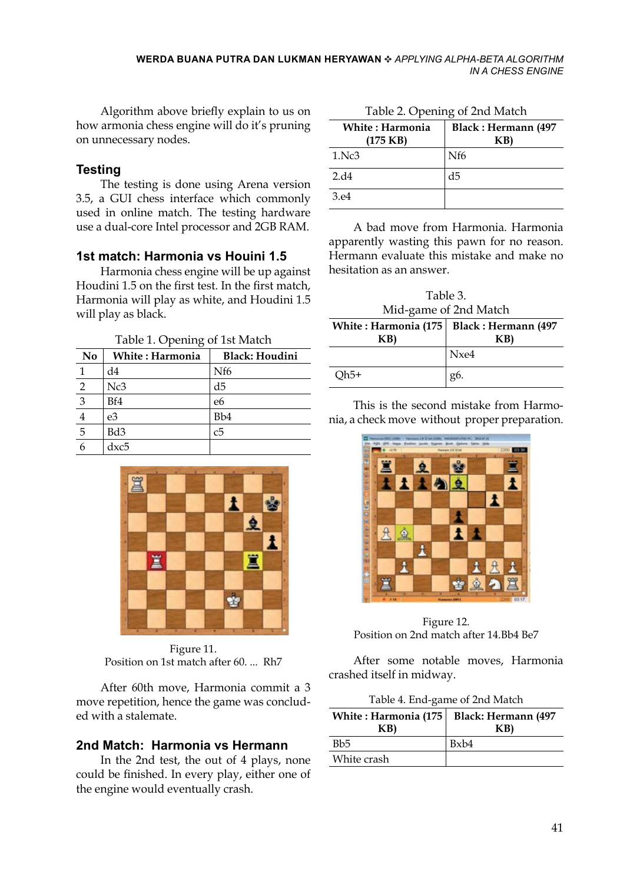Algorithm above briefly explain to us on how armonia chess engine will do it's pruning on unnecessary nodes.

### **Testing**

The testing is done using Arena version 3.5, a GUI chess interface which commonly used in online match. The testing hardware use a dual-core Intel processor and 2GB RAM.

## **1st match: Harmonia vs Houini 1.5**

Harmonia chess engine will be up against Houdini 1.5 on the first test. In the first match, Harmonia will play as white, and Houdini 1.5 will play as black.

Table 1. Opening of 1st Match

| No             | White: Harmonia | <b>Black: Houdini</b> |
|----------------|-----------------|-----------------------|
|                | d4              | Nf <sub>6</sub>       |
| $\overline{c}$ | Nc3             | d5                    |
| $\overline{3}$ | Bf4             | e6                    |
| 4              | e3              | Bb <sub>4</sub>       |
| $\overline{5}$ | Bd3             | с5                    |
|                | dxc5            |                       |



Figure 11. Position on 1st match after 60. ... Rh7

After 60th move, Harmonia commit a 3 move repetition, hence the game was concluded with a stalemate.

## **2nd Match: Harmonia vs Hermann**

In the 2nd test, the out of 4 plays, none could be finished. In every play, either one of the engine would eventually crash.

| Table 2. Opening of 2nd Match |  |
|-------------------------------|--|
|-------------------------------|--|

| <b>White : Harmonia</b><br>$(175$ KB) | <b>Black: Hermann (497</b><br>KB) |
|---------------------------------------|-----------------------------------|
| 1.Nc3                                 | Nf <sub>6</sub>                   |
| 2.d4                                  | d5                                |
| 3.e4                                  |                                   |

A bad move from Harmonia. Harmonia apparently wasting this pawn for no reason. Hermann evaluate this mistake and make no hesitation as an answer.

Table 3. Mid-game of 2nd Match

| White: Harmonia (175   Black: Hermann (497)<br>KB) | KB)  |
|----------------------------------------------------|------|
|                                                    | Nxe4 |
| Qh5+                                               | g6.  |

This is the second mistake from Harmonia, a check move without proper preparation.



Figure 12. Position on 2nd match after 14.Bb4 Be7

After some notable moves, Harmonia crashed itself in midway.

| Table 4. End-game of 2nd Match |
|--------------------------------|
|--------------------------------|

| White: Harmonia (175<br>KB) | <b>Black: Hermann (497</b><br>KB) |
|-----------------------------|-----------------------------------|
| Bb <sub>5</sub>             | Bxb4                              |
| White crash                 |                                   |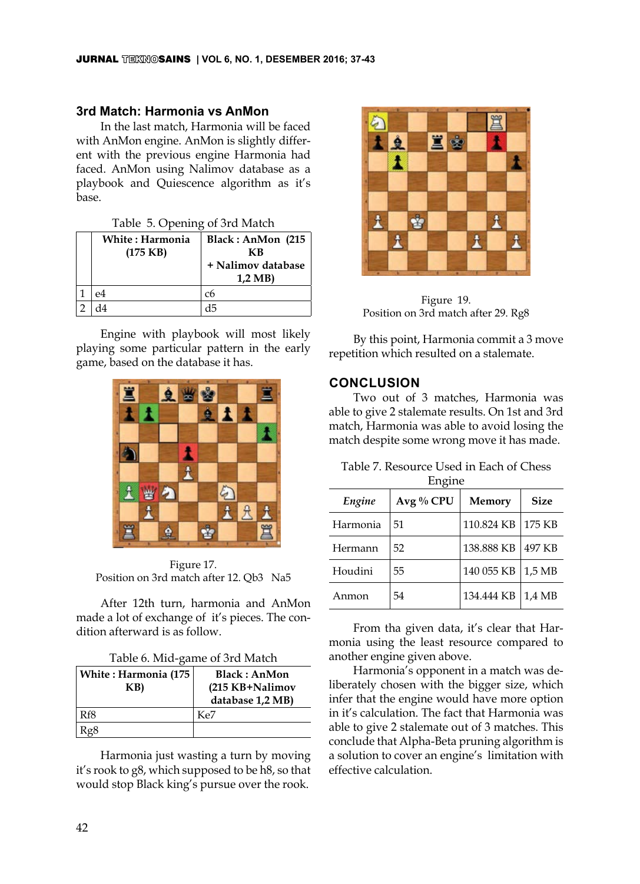### **3rd Match: Harmonia vs AnMon**

In the last match, Harmonia will be faced with AnMon engine. AnMon is slightly different with the previous engine Harmonia had faced. AnMon using Nalimov database as a playbook and Quiescence algorithm as it's base.

|  |  |  | Table 5. Opening of 3rd Match |
|--|--|--|-------------------------------|
|--|--|--|-------------------------------|

| <b>White: Harmonia</b><br>$(175$ KB) | Black: AnMon (215<br>КB<br>+ Nalimov database<br>$1,2 \text{ MB}$ |
|--------------------------------------|-------------------------------------------------------------------|
| ρ4                                   | с6                                                                |
|                                      |                                                                   |

Engine with playbook will most likely playing some particular pattern in the early game, based on the database it has.



Figure 17. Position on 3rd match after 12. Qb3 Na5

After 12th turn, harmonia and AnMon made a lot of exchange of it's pieces. The condition afterward is as follow.

|  | Table 6. Mid-game of 3rd Match |  |  |
|--|--------------------------------|--|--|
|--|--------------------------------|--|--|

| White: Harmonia (175<br>KB) | <b>Black: AnMon</b><br>(215 KB+Nalimov<br>database 1,2 MB) |
|-----------------------------|------------------------------------------------------------|
| Rf8                         | Ke7                                                        |
|                             |                                                            |

Harmonia just wasting a turn by moving it's rook to g8, which supposed to be h8, so that would stop Black king's pursue over the rook.



Figure 19. Position on 3rd match after 29. Rg8

By this point, Harmonia commit a 3 move repetition which resulted on a stalemate.

### **Conclusion**

Two out of 3 matches, Harmonia was able to give 2 stalemate results. On 1st and 3rd match, Harmonia was able to avoid losing the match despite some wrong move it has made.

| Table 7. Resource Used in Each of Chess |
|-----------------------------------------|
| Engine                                  |

| Engine   | Avg % CPU | Memory     | <b>Size</b> |
|----------|-----------|------------|-------------|
| Harmonia | 51        | 110.824 KB | 175 KB      |
| Hermann  | 52        | 138.888 KB | 497 KB      |
| Houdini  | 55        | 140 055 KB | 1,5 MB      |
| Anmon    | 54        | 134.444 KB | 1,4 MB      |

From tha given data, it's clear that Harmonia using the least resource compared to another engine given above.

Harmonia's opponent in a match was deliberately chosen with the bigger size, which infer that the engine would have more option in it's calculation. The fact that Harmonia was able to give 2 stalemate out of 3 matches. This conclude that Alpha-Beta pruning algorithm is a solution to cover an engine's limitation with effective calculation.